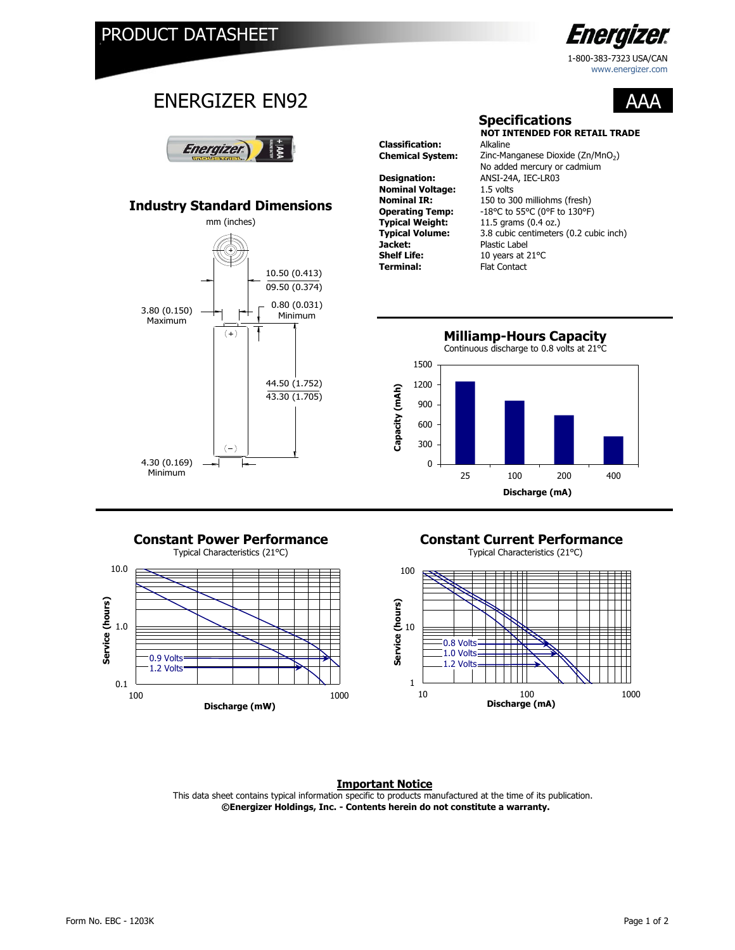

1-800-383-7323 USA/CAN www.energizer.com

AAA

## ENERGIZER EN92



## **Industry Standard Dimensions**



**Classification: Designation:** ANSI-24A, IEC-LR03 **Nominal Voltage:** 1.5 volts<br>**Nominal IR:** 150 to 30 **Jacket:** Plastic Label<br> **Shelf Life:** 10 years at 2 **Shelf Life:** 10 years at 21°C<br> **Terminal:** Flat Contact

**NOT INTENDED FOR RETAIL TRADE Chemical System:** Zinc-Manganese Dioxide (Zn/MnO<sub>2</sub>) 150 to 300 milliohms (fresh) **Operating Temp:** -18°C to 55°C (0°F to 130°F)<br>**Typical Weight:** 11.5 grams (0.4 oz.) **Typical Weight:** 11.5 grams (0.4 oz.) **Typical Volume:** 3.8 cubic centimeters (0.2 cubic inch)<br>**Jacket:** Plastic Label **Flat Contact** No added mercury or cadmium

**Specifications**





# **Constant Power Performance Constant Current Performance**<br>
Typical Characteristics (21°C)<br>
Typical Characteristics (21°C)

Typical Characteristics (21°C)



### **Important Notice** This data sheet contains typical information specific to products manufactured at the time of its publication.

 **©Energizer Holdings, Inc. - Contents herein do not constitute a warranty.**